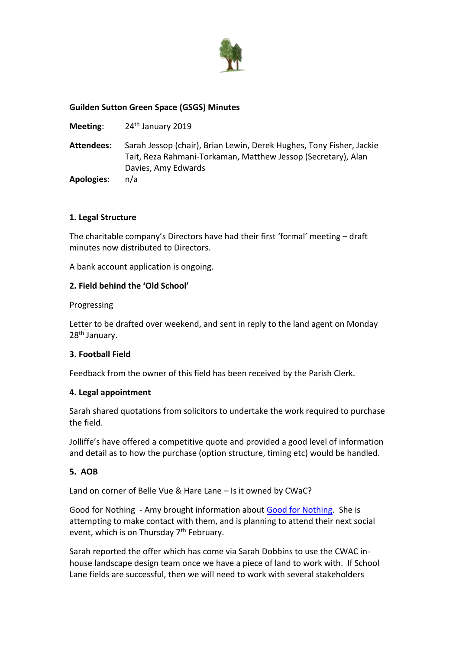

## **Guilden Sutton Green Space (GSGS) Minutes**

- **Meeting:** 24<sup>th</sup> January 2019
- **Attendees**: Sarah Jessop (chair), Brian Lewin, Derek Hughes, Tony Fisher, Jackie Tait, Reza Rahmani-Torkaman, Matthew Jessop (Secretary), Alan Davies, Amy Edwards

**Apologies**: n/a

## **1. Legal Structure**

The charitable company's Directors have had their first 'formal' meeting – draft minutes now distributed to Directors.

A bank account application is ongoing.

## **2. Field behind the 'Old School'**

#### Progressing

Letter to be drafted over weekend, and sent in reply to the land agent on Monday 28th January.

#### **3. Football Field**

Feedback from the owner of this field has been received by the Parish Clerk.

#### **4. Legal appointment**

Sarah shared quotations from solicitors to undertake the work required to purchase the field.

Jolliffe's have offered a competitive quote and provided a good level of information and detail as to how the purchase (option structure, timing etc) would be handled.

# **5. AOB**

Land on corner of Belle Vue & Hare Lane – Is it owned by CWaC?

Good for Nothing - Amy brought information about [Good for Nothing.](http://www.goodfornothing.com/chapter/chester) She is attempting to make contact with them, and is planning to attend their next social event, which is on Thursday 7<sup>th</sup> February.

Sarah reported the offer which has come via Sarah Dobbins to use the CWAC inhouse landscape design team once we have a piece of land to work with. If School Lane fields are successful, then we will need to work with several stakeholders